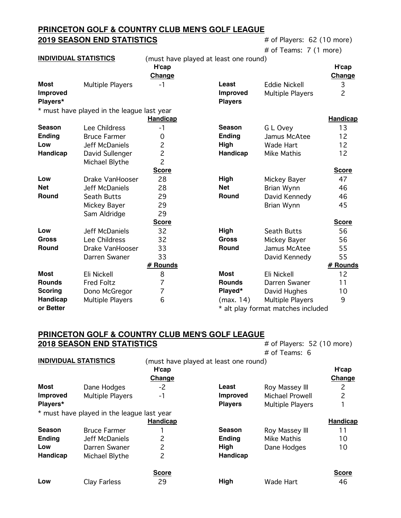# **PRINCETON GOLF & COUNTRY CLUB MEN'S GOLF LEAGUE 2019 SEASON END STATISTICS** # of Players: 62 (10 more)

| # of Teams:  7 (1 more) |  |  |  |  |
|-------------------------|--|--|--|--|
|-------------------------|--|--|--|--|

|                              |                                            |                 |                                       | # of Teams: $7(1 \text{ more})$    |                |
|------------------------------|--------------------------------------------|-----------------|---------------------------------------|------------------------------------|----------------|
| <b>INDIVIDUAL STATISTICS</b> |                                            |                 | (must have played at least one round) |                                    |                |
|                              |                                            | H'cap           |                                       |                                    | H'cap          |
|                              |                                            | <b>Change</b>   |                                       |                                    | Change         |
| <b>Most</b>                  | <b>Multiple Players</b>                    | $-1$            | Least                                 | <b>Eddie Nickell</b>               | 3              |
| <b>Improved</b>              |                                            |                 | <b>Improved</b>                       | <b>Multiple Players</b>            | $\overline{c}$ |
| Players*                     |                                            |                 | <b>Players</b>                        |                                    |                |
|                              | * must have played in the league last year |                 |                                       |                                    |                |
|                              |                                            | <b>Handicap</b> |                                       |                                    | Handicap       |
| <b>Season</b>                | Lee Childress                              | $-1$            | <b>Season</b>                         | G L Ovey                           | 13             |
| <b>Ending</b>                | <b>Bruce Farmer</b>                        | 0               | <b>Ending</b>                         | Jamus McAtee                       | 12             |
| Low                          | Jeff McDaniels                             | $\overline{c}$  | High                                  | <b>Wade Hart</b>                   | 12             |
| <b>Handicap</b>              | David Sullenger                            | $\overline{c}$  | Handicap                              | Mike Mathis                        | 12             |
|                              | Michael Blythe                             | $\overline{c}$  |                                       |                                    |                |
|                              |                                            | <b>Score</b>    |                                       |                                    | <b>Score</b>   |
| Low                          | Drake VanHooser                            | 28              | High                                  | Mickey Bayer                       | 47             |
| <b>Net</b>                   | Jeff McDaniels                             | 28              | <b>Net</b>                            | Brian Wynn                         | 46             |
| <b>Round</b>                 | Seath Butts                                | 29              | Round                                 | David Kennedy                      | 46             |
|                              | Mickey Bayer                               | 29              |                                       | <b>Brian Wynn</b>                  | 45             |
|                              | Sam Aldridge                               | 29              |                                       |                                    |                |
|                              |                                            | <b>Score</b>    |                                       |                                    | <b>Score</b>   |
| Low                          | Jeff McDaniels                             | 32              | High                                  | Seath Butts                        | 56             |
| <b>Gross</b>                 | Lee Childress                              | 32              | <b>Gross</b>                          | Mickey Bayer                       | 56             |
| Round                        | Drake VanHooser                            | 33              | Round                                 | Jamus McAtee                       | 55             |
|                              | Darren Swaner                              | 33              |                                       | David Kennedy                      | 55             |
|                              |                                            | # Rounds        |                                       |                                    | # Rounds       |
| Most                         | Eli Nickell                                | 8               | <b>Most</b>                           | Eli Nickell                        | 12             |
| <b>Rounds</b>                | <b>Fred Foltz</b>                          | 7               | <b>Rounds</b>                         | Darren Swaner                      | 11             |
| <b>Scoring</b>               | Dono McGregor                              | $\overline{7}$  | Played*                               | David Hughes                       | 10             |
| Handicap                     | <b>Multiple Players</b>                    | 6               | (max. 14)                             | <b>Multiple Players</b>            | 9              |
| or Better                    |                                            |                 |                                       | * alt play format matches included |                |

#### **PRINCETON GOLF & COUNTRY CLUB MEN'S GOLF LEAGUE 2018 SEASON END STATISTICS** # of Players: 52 (10 more)  $#$  of Teams:  $6$

|                              |                 |                                            | $H$ UI I Callis. O      |                                       |
|------------------------------|-----------------|--------------------------------------------|-------------------------|---------------------------------------|
| <b>INDIVIDUAL STATISTICS</b> |                 |                                            |                         |                                       |
|                              | H'cap           |                                            |                         | H'cap                                 |
|                              | Change          |                                            |                         | Change                                |
| Dane Hodges                  | $-2$            | Least                                      | Roy Massey III          | 2                                     |
| <b>Multiple Players</b>      | $-1$            | <b>Improved</b>                            | Michael Prowell         | 2                                     |
|                              |                 | <b>Players</b>                             | <b>Multiple Players</b> |                                       |
|                              |                 |                                            |                         |                                       |
|                              | <b>Handicap</b> |                                            |                         | <b>Handicap</b>                       |
| <b>Bruce Farmer</b>          |                 | <b>Season</b>                              | Roy Massey III          | 11                                    |
| Jeff McDaniels               | 2               | <b>Ending</b>                              | Mike Mathis             | 10                                    |
| Darren Swaner                | 2               | High                                       | Dane Hodges             | 10                                    |
| Michael Blythe               | 2               | Handicap                                   |                         |                                       |
|                              | <b>Score</b>    |                                            |                         | <b>Score</b>                          |
| <b>Clay Farless</b>          | 29              | High                                       | <b>Wade Hart</b>        | 46                                    |
|                              |                 | * must have played in the league last year |                         | (must have played at least one round) |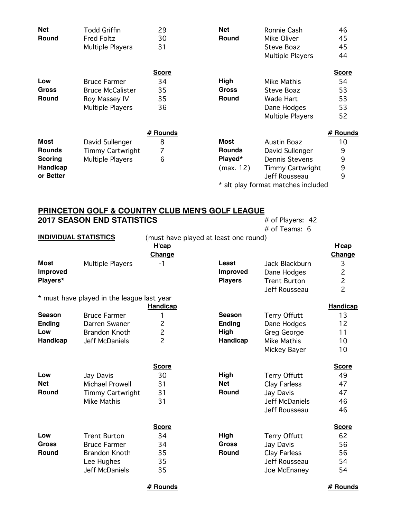| <b>Net</b>    | Todd Griffin            | 29           | <b>Net</b>    | Ronnie Cash                        | 46           |
|---------------|-------------------------|--------------|---------------|------------------------------------|--------------|
| Round         | <b>Fred Foltz</b>       | 30           | Round         | Mike Oliver                        | 45           |
|               | Multiple Players        | 31           |               | Steve Boaz                         | 45           |
|               |                         |              |               | Multiple Players                   | 44           |
|               |                         | <b>Score</b> |               |                                    | <b>Score</b> |
| Low           | <b>Bruce Farmer</b>     | 34           | High          | Mike Mathis                        | 54           |
| Gross         | <b>Bruce McCalister</b> | 35           | <b>Gross</b>  | Steve Boaz                         | 53           |
| <b>Round</b>  | Roy Massey IV           | 35           | Round         | Wade Hart                          | 53           |
|               | Multiple Players        | 36           |               | Dane Hodges                        | 53           |
|               |                         |              |               | Multiple Players                   | 52           |
|               |                         | # Rounds     |               |                                    | # Rounds     |
| <b>Most</b>   | David Sullenger         | 8            | <b>Most</b>   | <b>Austin Boaz</b>                 | 10           |
| <b>Rounds</b> | <b>Timmy Cartwright</b> |              | <b>Rounds</b> | David Sullenger                    | 9            |
| Scoring       | <b>Multiple Players</b> | 6            | Played*       | <b>Dennis Stevens</b>              | 9            |
| Handicap      |                         |              | (max. 12)     | <b>Timmy Cartwright</b>            | 9            |
| or Better     |                         |              |               | Jeff Rousseau                      | 9            |
|               |                         |              |               | * alt play format matches included |              |

### **PRINCETON GOLF & COUNTRY CLUB MEN'S GOLF LEAGUE 2017 SEASON END STATISTICS** # of Players: 42

|                              |                                            |                 |                                       | # of Teams: 6         |                 |
|------------------------------|--------------------------------------------|-----------------|---------------------------------------|-----------------------|-----------------|
| <b>INDIVIDUAL STATISTICS</b> |                                            |                 | (must have played at least one round) |                       |                 |
|                              |                                            | H'cap           |                                       |                       | H'cap           |
|                              |                                            | Change          |                                       |                       | Change          |
| <b>Most</b>                  | <b>Multiple Players</b>                    | $-1$            | Least                                 | Jack Blackburn        | $\mathsf 3$     |
| <b>Improved</b>              |                                            |                 | <b>Improved</b>                       | Dane Hodges           | $\overline{c}$  |
| Players*                     |                                            |                 | <b>Players</b>                        | <b>Trent Burton</b>   | $\overline{c}$  |
|                              |                                            |                 |                                       | Jeff Rousseau         | $\overline{2}$  |
|                              | * must have played in the league last year |                 |                                       |                       |                 |
|                              |                                            | <b>Handicap</b> |                                       |                       | <b>Handicap</b> |
| <b>Season</b>                | <b>Bruce Farmer</b>                        | 1               | <b>Season</b>                         | <b>Terry Offutt</b>   | 13              |
| <b>Ending</b>                | Darren Swaner                              | $\overline{c}$  | <b>Ending</b>                         | Dane Hodges           | 12              |
| Low                          | <b>Brandon Knoth</b>                       | $\overline{c}$  | High                                  | <b>Greg George</b>    | 11              |
| Handicap                     | Jeff McDaniels                             | $\overline{c}$  | Handicap                              | Mike Mathis           | 10              |
|                              |                                            |                 |                                       | Mickey Bayer          | 10              |
|                              |                                            |                 |                                       |                       |                 |
|                              |                                            | <b>Score</b>    |                                       |                       | <b>Score</b>    |
| Low                          | Jay Davis                                  | 30              | High                                  | <b>Terry Offutt</b>   | 49              |
| <b>Net</b>                   | <b>Michael Prowell</b>                     | 31              | <b>Net</b>                            | Clay Farless          | 47              |
| <b>Round</b>                 | <b>Timmy Cartwright</b>                    | 31              | <b>Round</b>                          | Jay Davis             | 47              |
|                              | <b>Mike Mathis</b>                         | 31              |                                       | <b>Jeff McDaniels</b> | 46              |
|                              |                                            |                 |                                       | Jeff Rousseau         | 46              |
|                              |                                            |                 |                                       |                       |                 |
|                              |                                            | <b>Score</b>    |                                       |                       | <b>Score</b>    |
| Low                          | <b>Trent Burton</b>                        | 34              | High                                  | <b>Terry Offutt</b>   | 62              |
| <b>Gross</b>                 | <b>Bruce Farmer</b>                        | 34              | <b>Gross</b>                          | Jay Davis             | 56              |
| <b>Round</b>                 | <b>Brandon Knoth</b>                       | 35              | Round                                 | Clay Farless          | 56              |
|                              | Lee Hughes                                 | 35              |                                       | Jeff Rousseau         | 54              |
|                              | Jeff McDaniels                             | 35              |                                       | Joe McEnaney          | 54              |
|                              |                                            |                 |                                       |                       |                 |

### **# Rounds # Rounds**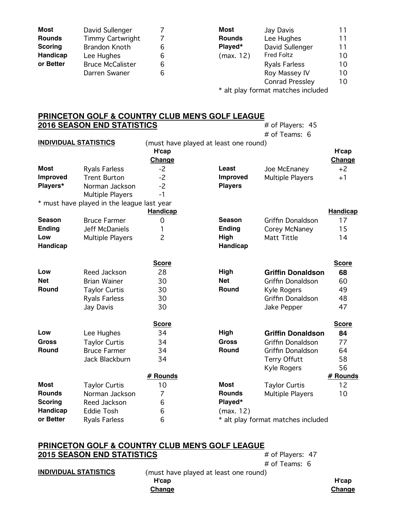| <b>Most</b>    | David Sullenger         |   | Most          | Jay Davis              | 11 |
|----------------|-------------------------|---|---------------|------------------------|----|
| <b>Rounds</b>  | <b>Timmy Cartwright</b> |   | <b>Rounds</b> | Lee Hughes             | 11 |
| <b>Scoring</b> | <b>Brandon Knoth</b>    | 6 | Played*       | David Sullenger        | 11 |
| Handicap       | Lee Hughes              | 6 | (max. 12)     | <b>Fred Foltz</b>      | 10 |
| or Better      | <b>Bruce McCalister</b> | 6 |               | <b>Ryals Farless</b>   | 10 |
|                | Darren Swaner           | 6 |               | Roy Massey IV          | 10 |
|                |                         |   |               | <b>Conrad Pressley</b> | 10 |

\* alt play format matches included

## **PRINCETON GOLF & COUNTRY CLUB MEN'S GOLF LEAGUE 2016 SEASON END STATISTICS** # of Players: 45

|                              |                                            |                 |                                       | # of Teams: 6                      |                 |
|------------------------------|--------------------------------------------|-----------------|---------------------------------------|------------------------------------|-----------------|
| <b>INDIVIDUAL STATISTICS</b> |                                            |                 | (must have played at least one round) |                                    |                 |
|                              |                                            | H'cap           |                                       |                                    | H'cap           |
|                              |                                            | Change          |                                       |                                    | Change          |
| Most                         | <b>Ryals Farless</b>                       | $-2$            | Least                                 | Joe McEnaney                       | $+2$            |
| <b>Improved</b>              | <b>Trent Burton</b>                        | $-2$            | <b>Improved</b>                       | <b>Multiple Players</b>            | $+1$            |
| Players*                     | Norman Jackson                             | $-2$            | <b>Players</b>                        |                                    |                 |
|                              | <b>Multiple Players</b>                    | $-1$            |                                       |                                    |                 |
|                              | * must have played in the league last year |                 |                                       |                                    |                 |
|                              |                                            | <b>Handicap</b> |                                       |                                    | <b>Handicap</b> |
| Season                       | <b>Bruce Farmer</b>                        | 0               | <b>Season</b>                         | Griffin Donaldson                  | 17              |
| <b>Ending</b>                | <b>Jeff McDaniels</b>                      | 1               | <b>Ending</b>                         | Corey McNaney                      | 15              |
| Low                          | <b>Multiple Players</b>                    | $\overline{c}$  | High                                  | Matt Tittle                        | 14              |
| Handicap                     |                                            |                 | Handicap                              |                                    |                 |
|                              |                                            |                 |                                       |                                    |                 |
|                              |                                            | <b>Score</b>    |                                       |                                    | <b>Score</b>    |
| Low                          | Reed Jackson                               | 28              | High                                  | <b>Griffin Donaldson</b>           | 68              |
| <b>Net</b>                   | <b>Brian Wainer</b>                        | 30              | <b>Net</b>                            | Griffin Donaldson                  | 60              |
| Round                        | <b>Taylor Curtis</b>                       | 30              | Round                                 | Kyle Rogers                        | 49              |
|                              | <b>Ryals Farless</b>                       | 30              |                                       | Griffin Donaldson                  | 48              |
|                              | Jay Davis                                  | 30              |                                       | Jake Pepper                        | 47              |
|                              |                                            |                 |                                       |                                    |                 |
|                              |                                            | <b>Score</b>    |                                       |                                    | <b>Score</b>    |
| Low                          | Lee Hughes                                 | 34              | High                                  | <b>Griffin Donaldson</b>           | 84              |
| <b>Gross</b>                 | <b>Taylor Curtis</b>                       | 34              | <b>Gross</b>                          | Griffin Donaldson                  | 77              |
| Round                        | <b>Bruce Farmer</b>                        | 34              | Round                                 | Griffin Donaldson                  | 64              |
|                              | Jack Blackburn                             | 34              |                                       | <b>Terry Offutt</b>                | 58              |
|                              |                                            |                 |                                       | Kyle Rogers                        | 56              |
|                              |                                            | # Rounds        |                                       |                                    | # Rounds        |
| Most                         | <b>Taylor Curtis</b>                       | 10              | <b>Most</b>                           | <b>Taylor Curtis</b>               | 12              |
| <b>Rounds</b>                | Norman Jackson                             | 7               | <b>Rounds</b>                         | <b>Multiple Players</b>            | 10              |
| <b>Scoring</b>               | Reed Jackson                               | 6               | Played*                               |                                    |                 |
| <b>Handicap</b>              | <b>Eddie Tosh</b>                          | 6               | (max. 12)                             |                                    |                 |
| or Better                    | <b>Ryals Farless</b>                       | 6               |                                       | * alt play format matches included |                 |

# **PRINCETON GOLF & COUNTRY CLUB MEN'S GOLF LEAGUE 2015 SEASON END STATISTICS** # of Players: 47

# of Teams: 6

**INDIVIDUAL STATISTICS** (must have played at least one round) **H'cap H'cap**

**Change Change**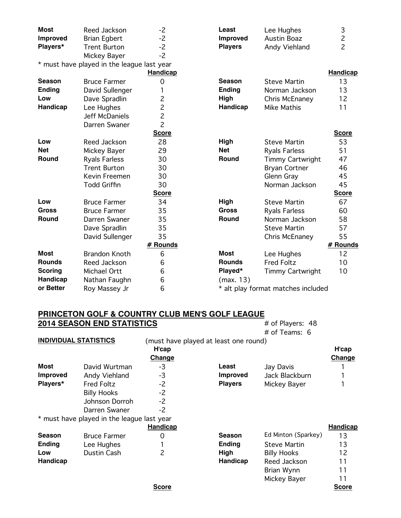| <b>Most</b>     | Reed Jackson                               | $-2$            | Least           | Lee Hughes                         | 3               |
|-----------------|--------------------------------------------|-----------------|-----------------|------------------------------------|-----------------|
| <b>Improved</b> | <b>Brian Egbert</b>                        | $-2$            | <b>Improved</b> | <b>Austin Boaz</b>                 | $\overline{c}$  |
| Players*        | <b>Trent Burton</b>                        | $-2$            | <b>Players</b>  | Andy Viehland                      | $\overline{c}$  |
|                 | Mickey Bayer                               | $-2$            |                 |                                    |                 |
|                 | * must have played in the league last year |                 |                 |                                    |                 |
|                 |                                            | <b>Handicap</b> |                 |                                    | <b>Handicap</b> |
| <b>Season</b>   | <b>Bruce Farmer</b>                        | 0               | <b>Season</b>   | <b>Steve Martin</b>                | 13              |
| <b>Ending</b>   | David Sullenger                            | 1               | <b>Ending</b>   | Norman Jackson                     | 13              |
| Low             | Dave Spradlin                              | $\overline{c}$  | High            | Chris McEnaney                     | 12              |
| <b>Handicap</b> | Lee Hughes                                 | $\overline{c}$  | Handicap        | Mike Mathis                        | 11              |
|                 | <b>Jeff McDaniels</b>                      | $\overline{c}$  |                 |                                    |                 |
|                 | Darren Swaner                              | $\overline{c}$  |                 |                                    |                 |
|                 |                                            | <b>Score</b>    |                 |                                    | <b>Score</b>    |
| Low             | Reed Jackson                               | 28              | High            | <b>Steve Martin</b>                | 53              |
| <b>Net</b>      | Mickey Bayer                               | 29              | <b>Net</b>      | <b>Ryals Farless</b>               | 51              |
| Round           | <b>Ryals Farless</b>                       | 30              | Round           | <b>Timmy Cartwright</b>            | 47              |
|                 | <b>Trent Burton</b>                        | 30              |                 | <b>Bryan Cortner</b>               | 46              |
|                 | Kevin Freemen                              | 30              |                 | Glenn Gray                         | 45              |
|                 | <b>Todd Griffin</b>                        | 30              |                 | Norman Jackson                     | 45              |
|                 |                                            | <b>Score</b>    |                 |                                    | <b>Score</b>    |
| Low             | <b>Bruce Farmer</b>                        | 34              | High            | <b>Steve Martin</b>                | 67              |
| <b>Gross</b>    | <b>Bruce Farmer</b>                        | 35              | <b>Gross</b>    | <b>Ryals Farless</b>               | 60              |
| Round           | Darren Swaner                              | 35              | Round           | Norman Jackson                     | 58              |
|                 | Dave Spradlin                              | 35              |                 | <b>Steve Martin</b>                | 57              |
|                 | David Sullenger                            | 35              |                 | Chris McEnaney                     | 55              |
|                 |                                            | # Rounds        |                 |                                    | # Rounds        |
| <b>Most</b>     | <b>Brandon Knoth</b>                       | 6               | <b>Most</b>     | Lee Hughes                         | 12              |
| <b>Rounds</b>   | Reed Jackson                               | 6               | <b>Rounds</b>   | <b>Fred Foltz</b>                  | 10              |
| <b>Scoring</b>  | Michael Ortt                               | 6               | Played*         | <b>Timmy Cartwright</b>            | 10              |
| Handicap        | Nathan Faughn                              | 6               | (max. 13)       |                                    |                 |
| or Better       | Roy Massey Jr                              | 6               |                 | * alt play format matches included |                 |

## **PRINCETON GOLF & COUNTRY CLUB MEN'S GOLF LEAGUE**<br>**2014 SEASON END STATISTICS** # of Players: 48 **2014 SEASON END STATISTICS**

# of Teams: 6 **INDIVIDUAL STATISTICS** (must have played at least one round)<br>
H'cap **H'cap H'cap**

|                 |                                            | Change       |                 |                     | <b>Change</b>   |
|-----------------|--------------------------------------------|--------------|-----------------|---------------------|-----------------|
| Most            | David Wurtman                              | -3           | Least           | Jay Davis           |                 |
| <b>Improved</b> | Andy Viehland                              | $-3$         | <b>Improved</b> | Jack Blackburn      |                 |
| Players*        | <b>Fred Foltz</b>                          | $-2$         | <b>Players</b>  | Mickey Bayer        |                 |
|                 | <b>Billy Hooks</b>                         | $-2$         |                 |                     |                 |
|                 | Johnson Dorroh                             | $-2$         |                 |                     |                 |
|                 | Darren Swaner                              | $-2$         |                 |                     |                 |
|                 | * must have played in the league last year |              |                 |                     |                 |
|                 |                                            | Handicap     |                 |                     | <b>Handicap</b> |
| <b>Season</b>   | <b>Bruce Farmer</b>                        | 0            | <b>Season</b>   | Ed Minton (Sparkey) | 13              |
| <b>Ending</b>   | Lee Hughes                                 |              | <b>Ending</b>   | <b>Steve Martin</b> | 13              |
| Low             | Dustin Cash                                | 2            | High            | <b>Billy Hooks</b>  | 12              |
| <b>Handicap</b> |                                            |              | Handicap        | Reed Jackson        | 11              |
|                 |                                            |              |                 | Brian Wynn          | 11              |
|                 |                                            |              |                 | Mickey Bayer        | 11              |
|                 |                                            | <b>Score</b> |                 |                     | <b>Score</b>    |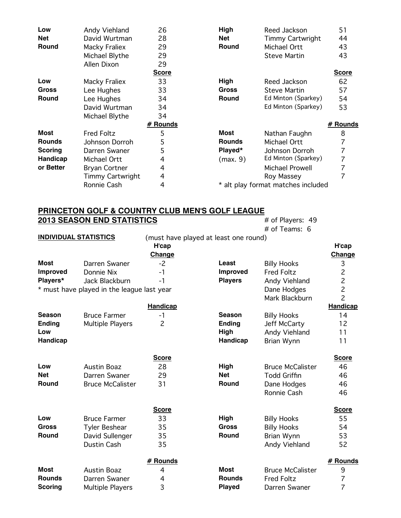| Low            | Andy Viehland           | 26           | High          | Reed Jackson                       | 51           |
|----------------|-------------------------|--------------|---------------|------------------------------------|--------------|
| <b>Net</b>     | David Wurtman           | 28           | Net           | <b>Timmy Cartwright</b>            | 44           |
| Round          | Macky Fraliex           | 29           | Round         | Michael Ortt                       | 43           |
|                | Michael Blythe          | 29           |               | <b>Steve Martin</b>                | 43           |
|                | Allen Dixon             | 29           |               |                                    |              |
|                |                         | <b>Score</b> |               |                                    | <b>Score</b> |
| Low            | Macky Fraliex           | 33           | High          | Reed Jackson                       | 62           |
| Gross          | Lee Hughes              | 33           | <b>Gross</b>  | <b>Steve Martin</b>                | 57           |
| <b>Round</b>   | Lee Hughes              | 34           | Round         | Ed Minton (Sparkey)                | 54           |
|                | David Wurtman           | 34           |               | Ed Minton (Sparkey)                | 53           |
|                | Michael Blythe          | 34           |               |                                    |              |
|                |                         | # Rounds     |               |                                    | # Rounds     |
| <b>Most</b>    | <b>Fred Foltz</b>       | 5            | <b>Most</b>   | Nathan Faughn                      | 8            |
| <b>Rounds</b>  | Johnson Dorroh          | 5            | <b>Rounds</b> | Michael Ortt                       |              |
| <b>Scoring</b> | Darren Swaner           | 5            | Played*       | Johnson Dorroh                     |              |
| Handicap       | Michael Ortt            | 4            | (max. 9)      | Ed Minton (Sparkey)                | 7            |
| or Better      | <b>Bryan Cortner</b>    | 4            |               | Michael Prowell                    | 7            |
|                | <b>Timmy Cartwright</b> | 4            |               | Roy Massey                         |              |
|                | Ronnie Cash             | 4            |               | * alt play format matches included |              |

### **PRINCETON GOLF & COUNTRY CLUB MEN'S GOLF LEAGUE 2013 SEASON END STATISTICS** # of Players: 49

 $\overline{\text{# of}$  Players: 49<br> $\text{# of}$  Teams: 6

|                 | <b>INDIVIDUAL STATISTICS</b>               |                 | (must have played at least one round) |                         |                 |
|-----------------|--------------------------------------------|-----------------|---------------------------------------|-------------------------|-----------------|
|                 |                                            | H'cap           |                                       |                         | H'cap           |
|                 |                                            | Change          |                                       |                         | Change          |
| <b>Most</b>     | Darren Swaner                              | $-2$            | Least                                 | <b>Billy Hooks</b>      | 3               |
| <b>Improved</b> | Donnie Nix                                 | $-1$            | <b>Improved</b>                       | <b>Fred Foltz</b>       | $\overline{c}$  |
| Players*        | Jack Blackburn                             | $-1$            | <b>Players</b>                        | Andy Viehland           | $\overline{c}$  |
|                 | * must have played in the league last year |                 |                                       | Dane Hodges             | $\overline{c}$  |
|                 |                                            |                 |                                       | Mark Blackburn          | $\overline{c}$  |
|                 |                                            | <b>Handicap</b> |                                       |                         | <b>Handicap</b> |
| <b>Season</b>   | <b>Bruce Farmer</b>                        | $-1$            | <b>Season</b>                         | <b>Billy Hooks</b>      | 14              |
| <b>Ending</b>   | <b>Multiple Players</b>                    | $\overline{c}$  | <b>Ending</b>                         | Jeff McCarty            | 12              |
| Low             |                                            |                 | High                                  | Andy Viehland           | 11              |
| Handicap        |                                            |                 | Handicap                              | Brian Wynn              | 11              |
|                 |                                            | <b>Score</b>    |                                       |                         | <b>Score</b>    |
| Low             | <b>Austin Boaz</b>                         | 28              | High                                  | <b>Bruce McCalister</b> | 46              |
| <b>Net</b>      | Darren Swaner                              | 29              | <b>Net</b>                            | <b>Todd Griffin</b>     | 46              |
| <b>Round</b>    | <b>Bruce McCalister</b>                    | 31              | Round                                 | Dane Hodges             | 46              |
|                 |                                            |                 |                                       | Ronnie Cash             | 46              |
|                 |                                            | <b>Score</b>    |                                       |                         | <b>Score</b>    |
| Low             | <b>Bruce Farmer</b>                        | 33              | High                                  | <b>Billy Hooks</b>      | 55              |
| <b>Gross</b>    | <b>Tyler Beshear</b>                       | 35              | <b>Gross</b>                          | <b>Billy Hooks</b>      | 54              |
| <b>Round</b>    | David Sullenger                            | 35              | Round                                 | Brian Wynn              | 53              |
|                 | Dustin Cash                                | 35              |                                       | Andy Viehland           | 52              |
|                 |                                            | # Rounds        |                                       |                         | # Rounds        |
| <b>Most</b>     | <b>Austin Boaz</b>                         | 4               | <b>Most</b>                           | <b>Bruce McCalister</b> | 9               |
| <b>Rounds</b>   | Darren Swaner                              | 4               | <b>Rounds</b>                         | <b>Fred Foltz</b>       | $\overline{7}$  |
| <b>Scoring</b>  | <b>Multiple Players</b>                    | 3               | <b>Played</b>                         | Darren Swaner           | $\overline{7}$  |
|                 |                                            |                 |                                       |                         |                 |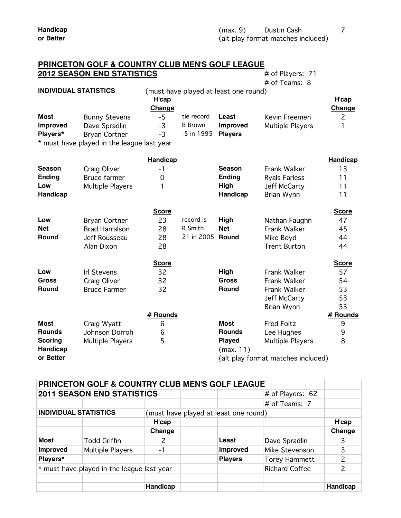|                 | THIS CLEAR AND A COOM IT SECOND MENT       |                 |                |                                       |                      |                 |
|-----------------|--------------------------------------------|-----------------|----------------|---------------------------------------|----------------------|-----------------|
|                 | <b>2012 SEASON END STATISTICS</b>          |                 |                |                                       | # of Players: 71     |                 |
|                 |                                            |                 |                |                                       | # of Teams: 8        |                 |
|                 | <b>INDIVIDUAL STATISTICS</b>               |                 |                | (must have played at least one round) |                      |                 |
|                 |                                            | H'cap           |                |                                       |                      | H'cap           |
|                 |                                            | Change          |                |                                       |                      | Change          |
| <b>Most</b>     | <b>Bunny Stevens</b>                       | $-5$            | tie record     | Least                                 | Kevin Freemen        | $\overline{c}$  |
| <b>Improved</b> | Dave Spradlin                              | $-3$            | <b>B</b> Brown | <b>Improved</b>                       | Multiple Players     |                 |
| Players*        | <b>Bryan Cortner</b>                       | $-3$            | -5 in 1995     | <b>Players</b>                        |                      |                 |
|                 | * must have played in the league last year |                 |                |                                       |                      |                 |
|                 |                                            | <b>Handicap</b> |                |                                       |                      | <b>Handicap</b> |
| <b>Season</b>   | Craig Oliver                               | $-1$            |                | Season                                | <b>Frank Walker</b>  | 13              |
| <b>Ending</b>   | <b>Bruce farmer</b>                        | 0               |                | <b>Ending</b>                         | <b>Ryals Farless</b> | 11              |
| Low             | Multiple Players                           | 1               |                | High                                  | Jeff McCarty         | 11              |
| <b>Handicap</b> |                                            |                 |                | Handicap                              | Brian Wynn           | 11              |
|                 |                                            | <b>Score</b>    |                |                                       |                      | <b>Score</b>    |
| Low             | <b>Bryan Cortner</b>                       | 23              | record is      | High                                  | Nathan Faughn        | 47              |
| <b>Net</b>      | <b>Brad Harralson</b>                      | 28              | R Smith        | <b>Net</b>                            | <b>Frank Walker</b>  | 45              |
| <b>Round</b>    | Jeff Rousseau                              | 28              | 21 in 2005     | Round                                 | Mike Boyd            | 44              |
|                 | Alan Dixon                                 | 28              |                |                                       | <b>Trent Burton</b>  | 44              |
|                 |                                            | <b>Score</b>    |                |                                       |                      | <b>Score</b>    |
| Low             | <b>Irl Stevens</b>                         | 32              |                | High                                  | <b>Frank Walker</b>  | 57              |
| <b>Gross</b>    | Craig Oliver                               | 32              |                | <b>Gross</b>                          | <b>Frank Walker</b>  | 54              |
| <b>Round</b>    | <b>Bruce Farmer</b>                        | 32              |                | Round                                 | <b>Frank Walker</b>  | 53              |
|                 |                                            |                 |                |                                       | Jeff McCarty         | 53              |
|                 |                                            |                 |                |                                       | Brian Wynn           | 53              |
|                 |                                            | $\mu$ December  |                |                                       |                      | $\mu$ Daugala   |

## **PRINCETON GOLF & COUNTRY CLUB MEN'S GOLF LEAGUE**

**# Rounds # Rounds Most** Craig Wyatt 6 **Most** Fred Foltz 9 **Rounds** Johnson Dorroh 6 **Rounds** Lee Hughes 9 **Scoring** Multiple Players 5 5 **Played** Multiple Players 8 **Handicap** (max. 11) **or Better or Better** (alt play format matches included)

#### **PRINCETON GOLF & COUNTRY CLUB MEN'S GOLF LEAGUE 2011 SEASON END STATISTICS** # of Players: 62

|                              | <u>ZVIII ULAUVIN LIND UTATIUTIVU</u>               |                                       |  |                 |                       |                 |
|------------------------------|----------------------------------------------------|---------------------------------------|--|-----------------|-----------------------|-----------------|
|                              |                                                    |                                       |  |                 | $#$ of Teams: 7       |                 |
| <b>INDIVIDUAL STATISTICS</b> |                                                    | (must have played at least one round) |  |                 |                       |                 |
|                              |                                                    | H'cap                                 |  |                 |                       | H'cap           |
|                              |                                                    | Change                                |  |                 |                       | Change          |
| Most                         | <b>Todd Griffin</b>                                | $-2$                                  |  | Least           | Dave Spradlin         | 3               |
| <b>Improved</b>              | Multiple Players                                   | -1                                    |  | <b>Improved</b> | Mike Stevenson        |                 |
| Players*                     |                                                    |                                       |  | <b>Players</b>  | <b>Torey Hammett</b>  |                 |
|                              | $\vert$ * must have played in the league last year |                                       |  |                 | <b>Richard Coffee</b> | 2               |
|                              |                                                    |                                       |  |                 |                       |                 |
|                              |                                                    | <b>Handicap</b>                       |  |                 |                       | <b>Handicap</b> |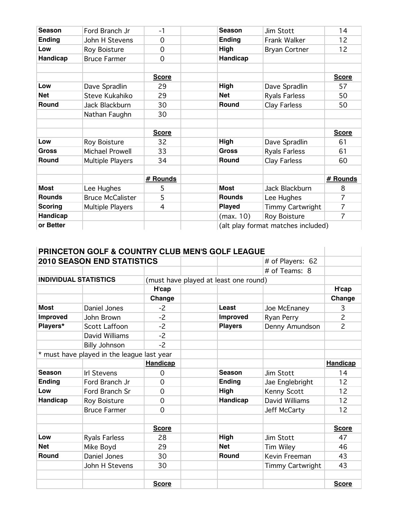| <b>Season</b>   | Ford Branch Jr          | $-1$           | <b>Season</b> | Jim Stott               | 14             |
|-----------------|-------------------------|----------------|---------------|-------------------------|----------------|
| <b>Ending</b>   | John H Stevens          | 0              | <b>Ending</b> | Frank Walker            | 12             |
| Low             | Roy Boisture            | 0              | High          | <b>Bryan Cortner</b>    | 12             |
| Handicap        | <b>Bruce Farmer</b>     | $\mathbf 0$    | Handicap      |                         |                |
|                 |                         |                |               |                         |                |
|                 |                         | <b>Score</b>   |               |                         | <b>Score</b>   |
| Low             | Dave Spradlin           | 29             | <b>High</b>   | Dave Spradlin           | 57             |
| <b>Net</b>      | Steve Kukahiko          | 29             | Net           | <b>Ryals Farless</b>    | 50             |
| Round           | Jack Blackburn          | 30             | Round         | Clay Farless            | 50             |
|                 | Nathan Faughn           | 30             |               |                         |                |
|                 |                         |                |               |                         |                |
|                 |                         | <b>Score</b>   |               |                         | <b>Score</b>   |
|                 |                         |                |               |                         |                |
| Low             | Roy Boisture            | 32             | High          | Dave Spradlin           | 61             |
| <b>Gross</b>    | Michael Prowell         | 33             | <b>Gross</b>  | <b>Ryals Farless</b>    | 61             |
| <b>Round</b>    | Multiple Players        | 34             | Round         | Clay Farless            | 60             |
|                 |                         |                |               |                         |                |
|                 |                         | # Rounds       |               |                         | # Rounds       |
| <b>Most</b>     | Lee Hughes              | 5              | <b>Most</b>   | Jack Blackburn          | 8              |
| <b>Rounds</b>   | <b>Bruce McCalister</b> | 5              | <b>Rounds</b> | Lee Hughes              | $\overline{7}$ |
| <b>Scoring</b>  | Multiple Players        | $\overline{4}$ | <b>Played</b> | <b>Timmy Cartwright</b> | $\overline{7}$ |
| <b>Handicap</b> |                         |                | (max. 10)     | <b>Roy Boisture</b>     | $\overline{7}$ |

|                              | <b>PRINCETON GOLF &amp; COUNTRY CLUB MEN'S GOLF LEAGUE</b> |              |                                       |                  |                |
|------------------------------|------------------------------------------------------------|--------------|---------------------------------------|------------------|----------------|
|                              | <b>2010 SEASON END STATISTICS</b>                          |              |                                       | # of Players: 62 |                |
|                              |                                                            |              |                                       | # of Teams: 8    |                |
| <b>INDIVIDUAL STATISTICS</b> |                                                            |              | (must have played at least one round) |                  |                |
|                              |                                                            | H'cap        |                                       |                  | H'cap          |
|                              |                                                            | Change       |                                       |                  | Change         |
| <b>Most</b>                  | Daniel Jones                                               | $-2$         | Least                                 | Joe McEnaney     | 3              |
| <b>Improved</b>              | John Brown                                                 | $-2$         | Improved                              | Ryan Perry       | $\overline{c}$ |
| Players*                     | Scott Laffoon                                              | $-2$         | <b>Players</b>                        | Denny Amundson   | $\overline{c}$ |
|                              | David Williams                                             | $-2$         |                                       |                  |                |
|                              | <b>Billy Johnson</b>                                       | $-2$         |                                       |                  |                |
|                              | * must have played in the league last year                 |              |                                       |                  |                |
|                              |                                                            | Handicap     |                                       |                  | Handicap       |
| Season                       | <b>Irl Stevens</b>                                         | $\Omega$     | <b>Season</b>                         | Jim Stott        | 14             |
| <b>Ending</b>                | Ford Branch Jr                                             | $\Omega$     | <b>Ending</b>                         | Jae Englebright  | 12             |
| Low                          | Ford Branch Sr                                             | $\Omega$     | High                                  | Kenny Scott      | 12             |
| Handicap                     | Roy Boisture                                               | $\mathbf 0$  | <b>Handicap</b>                       | David Williams   | 12             |
|                              | <b>Bruce Farmer</b>                                        | $\Omega$     |                                       | Jeff McCarty     | 12             |
|                              |                                                            |              |                                       |                  |                |
|                              |                                                            | <b>Score</b> |                                       |                  | <b>Score</b>   |
| Low                          | <b>Ryals Farless</b>                                       | 28           | High                                  | Jim Stott        | 47             |
| <b>Net</b>                   | Mike Boyd                                                  | 29           | <b>Net</b>                            | Tim Wiley        | 46             |
| <b>Round</b>                 | Daniel Jones                                               | 30           | <b>Round</b>                          | Kevin Freeman    | 43             |
|                              | John H Stevens                                             | 30           |                                       | Timmy Cartwright | 43             |
|                              |                                                            |              |                                       |                  |                |
|                              |                                                            | <b>Score</b> |                                       |                  | <b>Score</b>   |